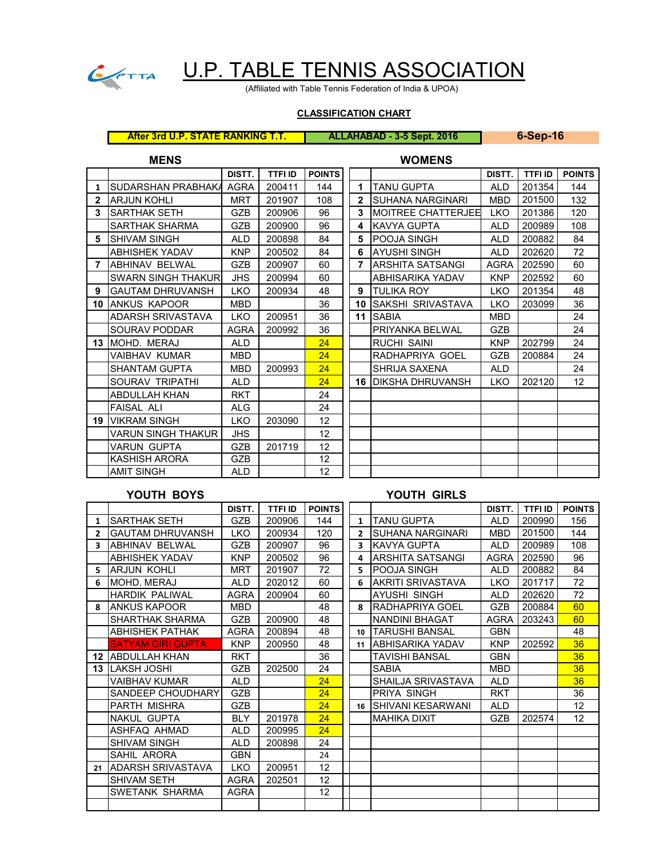

# U.P. TABLE TENNIS ASSOCIATION

(Affiliated with Table Tennis Federation of India & UPOA)

# **CLASSIFICATION CHART**

**After 3rd U.P. STATE RANKING T.T. ALLAHABAD - 3-5 Sept. 2016 6-Sep-16**

|                | <b>MENS</b>               |             |                |                 |                | <b>WOMENS</b>               |             |                |                 |
|----------------|---------------------------|-------------|----------------|-----------------|----------------|-----------------------------|-------------|----------------|-----------------|
|                |                           | DISTT.      | <b>TTFI ID</b> | <b>POINTS</b>   |                |                             | DISTT.      | <b>TTFI ID</b> | <b>POINTS</b>   |
| $\mathbf{1}$   | SUDARSHAN PRABHAKA        | <b>AGRA</b> | 200411         | 144             | 1              | <b>TANU GUPTA</b>           | <b>ALD</b>  | 201354         | 144             |
| $\overline{2}$ | <b>ARJUN KOHLI</b>        | <b>MRT</b>  | 201907         | 108             | $\overline{2}$ | <b>SUHANA NARGINARI</b>     | <b>MBD</b>  | 201500         | 132             |
| 3              | <b>SARTHAK SETH</b>       | <b>GZB</b>  | 200906         | 96              | 3              | <b>IMOITREE CHATTERJEE</b>  | <b>LKO</b>  | 201386         | 120             |
|                | <b>SARTHAK SHARMA</b>     | <b>GZB</b>  | 200900         | 96              | 4              | <b>KAVYA GUPTA</b>          | <b>ALD</b>  | 200989         | 108             |
| 5              | <b>ISHIVAM SINGH</b>      | <b>ALD</b>  | 200898         | 84              | 5              | <b>POOJA SINGH</b>          | <b>ALD</b>  | 200882         | 84              |
|                | <b>ABHISHEK YADAV</b>     | <b>KNP</b>  | 200502         | 84              | 6              | <b>AYUSHI SINGH</b>         | <b>ALD</b>  | 202620         | 72              |
| $\overline{7}$ | <b>ABHINAV BELWAL</b>     | <b>GZB</b>  | 200907         | 60              | $\overline{7}$ | <b>ARSHITA SATSANGI</b>     | <b>AGRA</b> | 202590         | 60              |
|                | <b>SWARN SINGH THAKUR</b> | <b>JHS</b>  | 200994         | 60              |                | ABHISARIKA YADAV            | <b>KNP</b>  | 202592         | 60              |
| 9              | <b>GAUTAM DHRUVANSH</b>   | <b>LKO</b>  | 200934         | 48              | 9              | <b>TULIKA ROY</b>           | <b>LKO</b>  | 201354         | 48              |
|                | <b>10 JANKUS KAPOOR</b>   | <b>MBD</b>  |                | 36              | 10             | ISAKSHI SRIVASTAVA          | <b>LKO</b>  | 203099         | 36              |
|                | ADARSH SRIVASTAVA         | <b>LKO</b>  | 200951         | 36              |                | 11 SABIA                    | <b>MBD</b>  |                | 24              |
|                | <b>SOURAV PODDAR</b>      | <b>AGRA</b> | 200992         | 36              |                | PRIYANKA BELWAL             | <b>GZB</b>  |                | 24              |
|                | 13 MOHD. MERAJ            | <b>ALD</b>  |                | 24              |                | <b>RUCHI SAINI</b>          | <b>KNP</b>  | 202799         | 24              |
|                | VAIBHAV KUMAR             | <b>MBD</b>  |                | 24              |                | RADHAPRIYA GOEL             | GZB         | 200884         | 24              |
|                | <b>SHANTAM GUPTA</b>      | <b>MBD</b>  | 200993         | 24              |                | <b>SHRIJA SAXENA</b>        | <b>ALD</b>  |                | 24              |
|                | SOURAV TRIPATHI           | ALD.        |                | 24              |                | <b>16 IDIKSHA DHRUVANSH</b> | <b>LKO</b>  | 202120         | 12 <sup>°</sup> |
|                | <b>ABDULLAH KHAN</b>      | <b>RKT</b>  |                | 24              |                |                             |             |                |                 |
|                | FAISAL ALI                | <b>ALG</b>  |                | 24              |                |                             |             |                |                 |
|                | <b>19 VIKRAM SINGH</b>    | <b>LKO</b>  | 203090         | 12 <sup>2</sup> |                |                             |             |                |                 |
|                | VARUN SINGH THAKUR        | <b>JHS</b>  |                | 12 <sup>2</sup> |                |                             |             |                |                 |
|                | VARUN GUPTA               | <b>GZB</b>  | 201719         | 12 <sup>2</sup> |                |                             |             |                |                 |
|                | KASHISH ARORA             | GZB         |                | 12              |                |                             |             |                |                 |
|                | <b>AMIT SINGH</b>         | <b>ALD</b>  |                | 12 <sup>2</sup> |                |                             |             |                |                 |

# **YOUTH BOYS YOUTH GIRLS**

|    |                          | DISTT.      | <b>TTFI ID</b> | <b>POINTS</b> |                |                           | <b>DISTT.</b> | <b>TTFI ID</b> | <b>POINTS</b> |
|----|--------------------------|-------------|----------------|---------------|----------------|---------------------------|---------------|----------------|---------------|
| 1  | <b>SARTHAK SETH</b>      | GZB         | 200906         | 144           | $\mathbf{1}$   | <b>TANU GUPTA</b>         | <b>ALD</b>    | 200990         | 156           |
| 2  | <b>GAUTAM DHRUVANSH</b>  | <b>LKO</b>  | 200934         | 120           | $\overline{2}$ | <b>SUHANA NARGINARI</b>   | <b>MBD</b>    | 201500         | 144           |
| 3  | <b>ABHINAV BELWAL</b>    | <b>GZB</b>  | 200907         | 96            | 3              | KAVYA GUPTA               | <b>ALD</b>    | 200989         | 108           |
|    | <b>ABHISHEK YADAV</b>    | <b>KNP</b>  | 200502         | 96            | 4              | <b>ARSHITA SATSANGI</b>   | <b>AGRA</b>   | 202590         | 96            |
| 5. | <b>ARJUN KOHLI</b>       | <b>MRT</b>  | 201907         | 72            | 5.             | POOJA SINGH               | <b>ALD</b>    | 200882         | 84            |
| 6  | MOHD. MERAJ              | <b>ALD</b>  | 202012         | 60            | 6              | <b>AKRITI SRIVASTAVA</b>  | <b>LKO</b>    | 201717         | 72            |
|    | <b>HARDIK PALIWAL</b>    | AGRA        | 200904         | 60            |                | <b>AYUSHI SINGH</b>       | <b>ALD</b>    | 202620         | 72            |
| 8  | <b>ANKUS KAPOOR</b>      | <b>MBD</b>  |                | 48            | 8              | <b>IRADHAPRIYA GOEL</b>   | <b>GZB</b>    | 200884         | 60            |
|    | SHARTHAK SHARMA          | GZB         | 200900         | 48            |                | <b>NANDINI BHAGAT</b>     | AGRA          | 203243         | 60            |
|    | <b>ABHISHEK PATHAK</b>   | <b>AGRA</b> | 200894         | 48            |                | 10 <b>ITARUSHI BANSAL</b> | <b>GBN</b>    |                | 48            |
|    | <b>SATYAM GIRI GUPTA</b> | <b>KNP</b>  | 200950         | 48            | 11             | <b>JABHISARIKA YADAV</b>  | <b>KNP</b>    | 202592         | 36            |
| 12 | <b>ABDULLAH KHAN</b>     | <b>RKT</b>  |                | 36            |                | TAVISHI BANSAL            | <b>GBN</b>    |                | 36            |
| 13 | LAKSH JOSHI              | GZB         | 202500         | 24            |                | <b>SABIA</b>              | <b>MBD</b>    |                | 36            |
|    | <b>VAIBHAV KUMAR</b>     | ALD         |                | 24            |                | SHAILJA SRIVASTAVA        | <b>ALD</b>    |                | 36            |
|    | SANDEEP CHOUDHARY        | <b>GZB</b>  |                | 24            |                | PRIYA SINGH               | <b>RKT</b>    |                | 36            |
|    | <b>PARTH MISHRA</b>      | <b>GZB</b>  |                | 24            | 16             | <b>ISHIVANI KESARWANI</b> | <b>ALD</b>    |                | 12            |
|    | <b>NAKUL GUPTA</b>       | <b>BLY</b>  | 201978         | 24            |                | <b>MAHIKA DIXIT</b>       | <b>GZB</b>    | 202574         | 12            |
|    | ASHFAQ AHMAD             | ALD         | 200995         | 24            |                |                           |               |                |               |
|    | <b>SHIVAM SINGH</b>      | <b>ALD</b>  | 200898         | 24            |                |                           |               |                |               |
|    | SAHIL ARORA              | <b>GBN</b>  |                | 24            |                |                           |               |                |               |
| 21 | ADARSH SRIVASTAVA        | <b>LKO</b>  | 200951         | 12            |                |                           |               |                |               |
|    | <b>SHIVAM SETH</b>       | AGRA        | 202501         | 12            |                |                           |               |                |               |
|    | SWETANK SHARMA           | <b>AGRA</b> |                | 12            |                |                           |               |                |               |
|    |                          |             |                |               |                |                           |               |                |               |